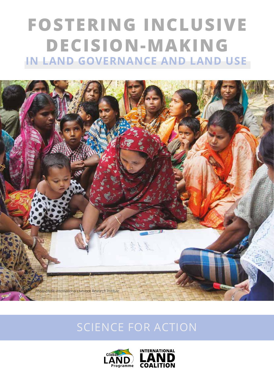# **FOSTERING INCLUSIVE DECISION-MAKING IN LAND GOVERNANCE AND LAND USE**



# SCIENCE FOR ACTION



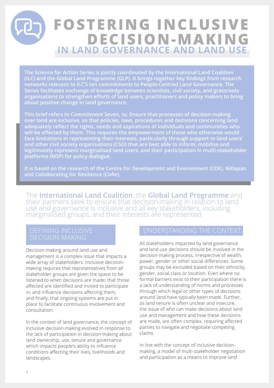# **FOSTERING INCLUSIVE IN LAND GOVERNANCE AND LAND USE DECISION-MAKING**

**The Science for Action Series is jointly coordinated by the International Land Coalition (ILC) and the Global Land Programme (GLP). It brings together key findings from research networks relevant to ILC'S ten commitments to People-Centred Land Governance. The Series facilitates exchange of knowledge between scientists, civil society, and grassroots organisations to strengthen efforts of land users, practitioners and policy makers to bring about positive change in land governance.**

**This brief refers to Commitment Seven, to: Ensure that processes of decision-making over land are inclusive, so that policies, laws, procedures and decisions concerning land adequately reflect the rights, needs and aspirations of individuals and communities who will be affected by them. This requires the empowerment of those who otherwise would face limitations in representing their interests, particularly through support to land users' and other civil society organisations (CSO) that are best able to inform, mobilise and legitimately represent marginalised land users, and their participation in multi-stakeholder platforms (MSP) for policy dialogue.**

**It is based on the research of the Centre for Development and Environment (CDE), Nitlapan and Collaborating for Resilience (CoRe).** 

The **International Land Coalition**, the **Global Land Programme** and their partners seek to ensure that decision-making in relation to land use and governance is inclusive and all key stakeholders, including marginalised groups, and their interests are represented.

Decision-making around land use and management is a complex issue that impacts a wide array of stakeholders. Inclusive decisionmaking requires that representatives from all stakeholder groups are given the space to be listened to when decisions are made; that those affected are identified and invited to participate in, and influence decisions affecting them; and finally, that ongoing systems are put in place to facilitate continuous involvement and consultation.

In the context of land governance, the concept of inclusive decision-making evolved in response to the lack of participation in decision-making about land ownership, use, tenure and governance which impacts people's ability to influence conditions affecting their lives, livelihoods and landscapes.

# UNDERSTANDING THE CONTEXT

All stakeholders impacted by land governance and land use decisions should be involved in the decision-making process, irrespective of wealth, power, gender or other social differences. Some groups may be excluded based on their ethnicity, gender, social class or location. Even where no formal barriers exist to their participation there is a lack of understanding of norms and processes through which legal or other types of decisions around land have typically been made. Further, as land tenure is often unclear and insecure, the issue of who can make decisions about land use and management and how these decisions are made, are often complex, requiring affected parties to navigate and negotiate competing claims.

In line with the concept of inclusive decisionmaking, a model of multi-stakeholder negotiation and participation as a means to improve land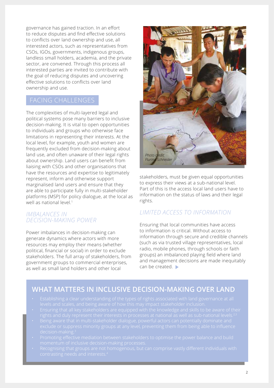governance has gained traction. In an effort to reduce disputes and find effective solutions to conflicts over land ownership and use, all interested actors, such as representatives from CSOs, IGOs, governments, indigenous groups, landless small holders, academia, and the private sector, are convened. Through this process all interested parties are invited to contribute with the goal of reducing disputes and uncovering effective solutions to conflicts over land ownership and use.

# FACING CHALLENGES

The complexities of multi-layered legal and political systems pose many barriers to inclusive decision-making. It is vital to open opportunities to individuals and groups who otherwise face limitations in representing their interests. At the local level, for example, youth and women are frequently excluded from decision-making about land use, and often unaware of their legal rights about ownership. Land users can benefit from liaising with CSOs and other organisations that have the resources and expertise to legitimately represent, inform and otherwise support marginalised land users and ensure that they are able to participate fully in multi-stakeholder platforms (MSP) for policy dialogue, at the local as well as national level.<sup>1</sup>

#### *IMBALANCES IN DECISION-MAKING POWER*

Power imbalances in decision-making can generate dynamics where actors with more resources may employ their means (whether political, financial or social) in order to exclude stakeholders. The full array of stakeholders, from government groups to commercial enterprises, as well as small land holders and other local



stakeholders, must be given equal opportunities to express their views at a sub-national level. Part of this is the access local land users have to information on the status of laws and their legal rights.

## *LIMITED ACCESS TO INFORMATION*

Ensuring that local communities have access to information is critical. Without access to information through secure and credible channels (such as via trusted village representatives, local radio, mobile phones, through schools or faith groups) an imbalanced playing field where land and management decisions are made inequitably can be created.

# **WHAT MATTERS IN INCLUSIVE DECISION-MAKING OVER LAND**

- 
- 
- 
- 
-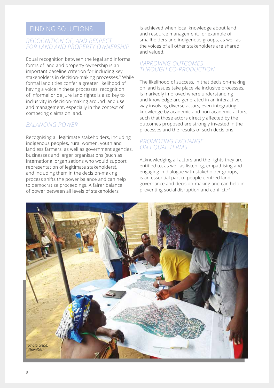#### *RECOGNITION OF, AND RESPECT FOR LAND AND PROPERTY OWNERSHIP*

Equal recognition between the legal and informal forms of land and property ownership is an important baseline criterion for including key stakeholders in decision-making processes.<sup>3</sup> While formal land titles confer a greater likelihood of having a voice in these processes, recognition of informal or de jure land rights is also key to inclusivity in decision-making around land use and management, especially in the context of competing claims on land.

### *BALANCING POWER*

Recognising all legitimate stakeholders, including indigenous peoples, rural women, youth and landless farmers, as well as government agencies, businesses and larger organisations (such as international organisations who would support representation of legitimate stakeholders), and including them in the decision-making process shifts the power balance and can help to democratise proceedings. A fairer balance of power between all levels of stakeholders

is achieved when local knowledge about land and resource management, for example of smallholders and indigenous groups, as well as the voices of all other stakeholders are shared and valued.

#### *IMPROVING OUTCOMES THROUGH CO-PRODUCTION*

The likelihood of success, in that decision-making on land issues take place via inclusive processes, is markedly improved where understanding and knowledge are generated in an interactive way involving diverse actors, even integrating knowledge by academic and non-academic actors, such that those actors directly affected by the outcomes proposed are strongly invested in the processes and the results of such decisions.

#### *PROMOTING EXCHANGE ON EQUAL TERMS*

Acknowledging all actors and the rights they are entitled to, as well as listening, empathising and engaging in dialogue with stakeholder groups, is an essential part of people-centred land governance and decision-making and can help in preventing social disruption and conflict.<sup>2,5</sup>

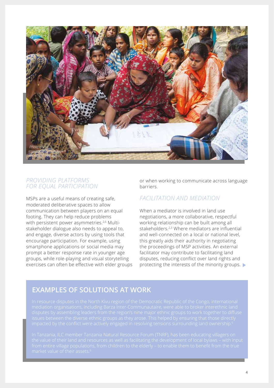

#### *PROVIDING PLATFORMS FOR EQUAL PARTICIPATION*

MSPs are a useful means of creating safe, moderated deliberative spaces to allow communication between players on an equal footing. They can help reduce problems with persistent power asymmetries.<sup>2,6</sup> Multistakeholder dialogue also needs to appeal to, and engage, diverse actors by using tools that encourage participation. For example, using smartphone applications or social media may prompt a better response rate in younger age groups, while role-playing and visual storytelling exercises can often be effective with elder groups or when working to communicate across language barriers.

## *FACILITATION AND MEDIATION*

When a mediator is involved in land use negotiations, a more collaborative, respectful working relationship can be built among all stakeholders.<sup>2,3</sup> Where mediators are influential and well-connected on a local or national level, this greatly aids their authority in negotiating the proceedings of MSP activities. An external facilitator may contribute to facilitating land disputes, reducing conflict over land rights and protecting the interests of the minority groups.

# **EXAMPLES OF SOLUTIONS AT WORK**

In resource disputes in the North Kivu region of the Democratic Republic of the Congo, international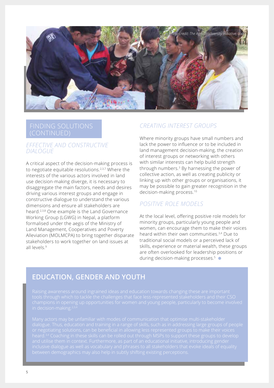

# (CONTINUED)

#### *EFFECTIVE AND CONSTRUCTIVE DIALOGUE*

A critical aspect of the decision-making process is to negotiate equitable resolutions.2,3,7 Where the interests of the various actors involved in land use decision-making diverge, it is necessary to disaggregate the main factors, needs and desires driving various interest groups and engage in constructive dialogue to understand the various dimensions and ensure all stakeholders are heard.2,3,8 One example is the Land Governance Working Group (LGWG) in Nepal, a platform formalised under the aegis of the Ministry of Land Management, Cooperatives and Poverty Alleviation (MOLMCPA) to bring together disparate stakeholders to work together on land issues at all levels<sup>9</sup>

### *CREATING INTEREST GROUPS*

Where minority groups have small numbers and lack the power to influence or to be included in land management decision-making, the creation of interest groups or networking with others with similar interests can help build strength through numbers.<sup>3</sup> By harnessing the power of collective action, as well as creating publicity or linking up with other groups or organisations, it may be possible to gain greater recognition in the decision-making process.10

### *POSITIVE ROLE MODELS*

At the local level, offering positive role models for minority groups, particularly young people and women, can encourage them to make their voices heard within their own communities.3,4 Due to traditional social models or a perceived lack of skills, experience or material wealth, these groups are often overlooked for leadership positions or during decision-making processes.<sup>5</sup> •

# **EDUCATION, GENDER AND YOUTH**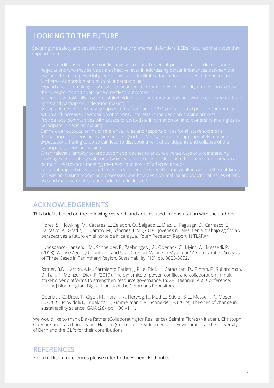# **LOOKING TO THE FUTURE**

- 
- 
- 
- 
- 
- 
- 
- 

# **ACKNOWLEDGEMENTS**

This brief is based on the following research and articles used in consultation with the authors:

- Flores, S., Howking, M., Cáceres, L., Zeledón, O., Salgado L., Díaz, L., Paguaga, D., Carrasco, E., Carrasco, A., Gradis, C., Carazo, M., Sánchez, E.M. (2018). Jóvenes rurales: tierra, trabajo agrícola y perspectivas a futuro en el norte de Nicaragua, Youth Research Report, NITLAPAN.
- Lundsgaard-Hansen, L.M., Schneider, F., Zaehringer, J.G., Oberlack, C., Myint, W., Messerli, P. (2018). Whose Agency Counts in Land Use Decision-Making in Myanmar? A Comparative Analysis of Three Cases in Tanintharyi Region, Sustainability, (10), pp. 3823-3852.
- Ratner, B.D., Larson, A.M., Sarmiento Barletti, J.P., el-Didi, H., Catacutan, D., Flintan, F., Suhardiman, D., Falk, T., Meinzen-Dick, R. (2019). The dynamics of power, conflict and collaboration in multistakeholder platforms to strengthen resource governance. In: XVII Biennial IASC Conference. [online] Bloomington: Digital Library of the Commons Repository.
- Oberlack, C., Breu, T., Giger, M., Harari, N., Herweg, K., Mathez-Stiefel, S-L., Messerli, P., Moser, S., Ott, C., Providoli, I., Tribaldos, T., Zimmermann, A., Schneider, F. (2019). Theories of change in sustainability science. GAIA (28), pp. 106 –111.

We would like to thank Blake Ratner (Collaborating for Resilience), Selmira Flores (Nitlapan), Christoph Oberlack and Lara Lundsgaard-Hansen (Centre for Development and Environment at the University of Bern and the GLP) for their contributions.

## **REFERENCES**

For a full list of references please refer to the Annex - [End notes](https://glp.earth/sites/default/files/reference_annex_for_science_for_action_commitment_7.pdf)